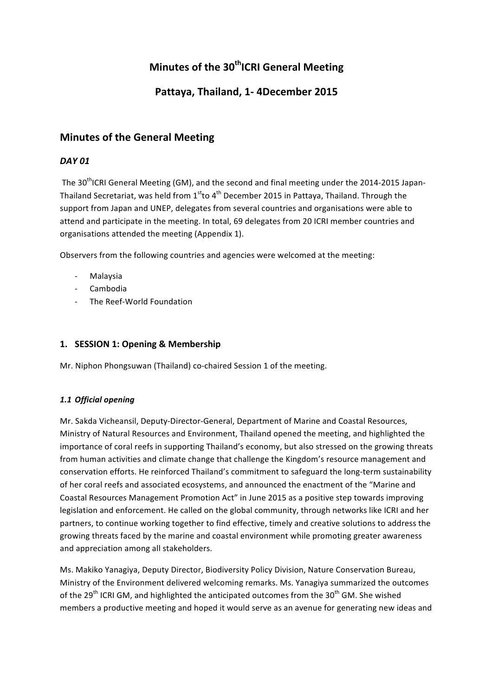# **Minutes of the 30<sup>th</sup>ICRI General Meeting**

# Pattaya, Thailand, 1-4December 2015

# **Minutes of the General Meeting**

# *DAY 01*

The 30<sup>th</sup>ICRI General Meeting (GM), and the second and final meeting under the 2014-2015 Japan-Thailand Secretariat, was held from  $1<sup>st</sup>$ to 4<sup>th</sup> December 2015 in Pattaya, Thailand. Through the support from Japan and UNEP, delegates from several countries and organisations were able to attend and participate in the meeting. In total, 69 delegates from 20 ICRI member countries and organisations attended the meeting (Appendix 1).

Observers from the following countries and agencies were welcomed at the meeting:

- Malaysia
- Cambodia
- The Reef-World Foundation

# 1. **SESSION 1: Opening & Membership**

Mr. Niphon Phongsuwan (Thailand) co-chaired Session 1 of the meeting.

### *1.1 Official opening*

Mr. Sakda Vicheansil, Deputy-Director-General, Department of Marine and Coastal Resources, Ministry of Natural Resources and Environment, Thailand opened the meeting, and highlighted the importance of coral reefs in supporting Thailand's economy, but also stressed on the growing threats from human activities and climate change that challenge the Kingdom's resource management and conservation efforts. He reinforced Thailand's commitment to safeguard the long-term sustainability of her coral reefs and associated ecosystems, and announced the enactment of the "Marine and Coastal Resources Management Promotion Act" in June 2015 as a positive step towards improving legislation and enforcement. He called on the global community, through networks like ICRI and her partners, to continue working together to find effective, timely and creative solutions to address the growing threats faced by the marine and coastal environment while promoting greater awareness and appreciation among all stakeholders.

Ms. Makiko Yanagiya, Deputy Director, Biodiversity Policy Division, Nature Conservation Bureau, Ministry of the Environment delivered welcoming remarks. Ms. Yanagiya summarized the outcomes of the 29<sup>th</sup> ICRI GM, and highlighted the anticipated outcomes from the 30<sup>th</sup> GM. She wished members a productive meeting and hoped it would serve as an avenue for generating new ideas and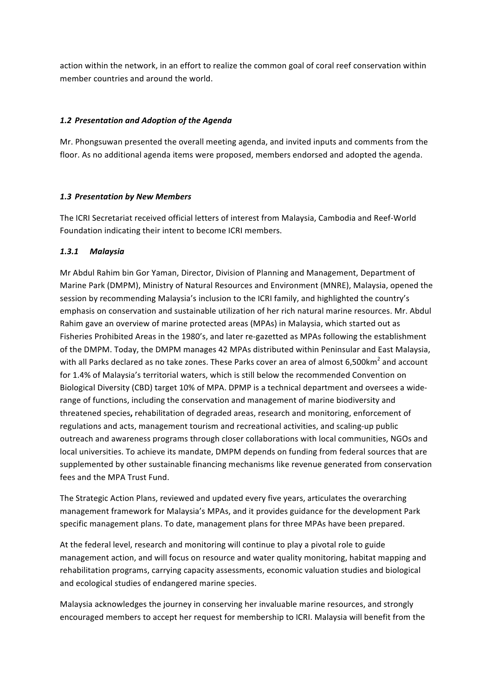action within the network, in an effort to realize the common goal of coral reef conservation within member countries and around the world.

#### *1.2 Presentation and Adoption of the Agenda*

Mr. Phongsuwan presented the overall meeting agenda, and invited inputs and comments from the floor. As no additional agenda items were proposed, members endorsed and adopted the agenda.

#### *1.3 Presentation by New Members*

The ICRI Secretariat received official letters of interest from Malaysia, Cambodia and Reef-World Foundation indicating their intent to become ICRI members.

#### *1.3.1 Malaysia*

Mr Abdul Rahim bin Gor Yaman, Director, Division of Planning and Management, Department of Marine Park (DMPM), Ministry of Natural Resources and Environment (MNRE), Malaysia, opened the session by recommending Malaysia's inclusion to the ICRI family, and highlighted the country's emphasis on conservation and sustainable utilization of her rich natural marine resources. Mr. Abdul Rahim gave an overview of marine protected areas (MPAs) in Malaysia, which started out as Fisheries Prohibited Areas in the 1980's, and later re-gazetted as MPAs following the establishment of the DMPM. Today, the DMPM manages 42 MPAs distributed within Peninsular and East Malaysia, with all Parks declared as no take zones. These Parks cover an area of almost 6,500km<sup>2</sup> and account for 1.4% of Malaysia's territorial waters, which is still below the recommended Convention on Biological Diversity (CBD) target 10% of MPA. DPMP is a technical department and oversees a widerange of functions, including the conservation and management of marine biodiversity and threatened species, rehabilitation of degraded areas, research and monitoring, enforcement of regulations and acts, management tourism and recreational activities, and scaling-up public outreach and awareness programs through closer collaborations with local communities, NGOs and local universities. To achieve its mandate, DMPM depends on funding from federal sources that are supplemented by other sustainable financing mechanisms like revenue generated from conservation fees and the MPA Trust Fund.

The Strategic Action Plans, reviewed and updated every five years, articulates the overarching management framework for Malaysia's MPAs, and it provides guidance for the development Park specific management plans. To date, management plans for three MPAs have been prepared.

At the federal level, research and monitoring will continue to play a pivotal role to guide management action, and will focus on resource and water quality monitoring, habitat mapping and rehabilitation programs, carrying capacity assessments, economic valuation studies and biological and ecological studies of endangered marine species.

Malaysia acknowledges the journey in conserving her invaluable marine resources, and strongly encouraged members to accept her request for membership to ICRI. Malaysia will benefit from the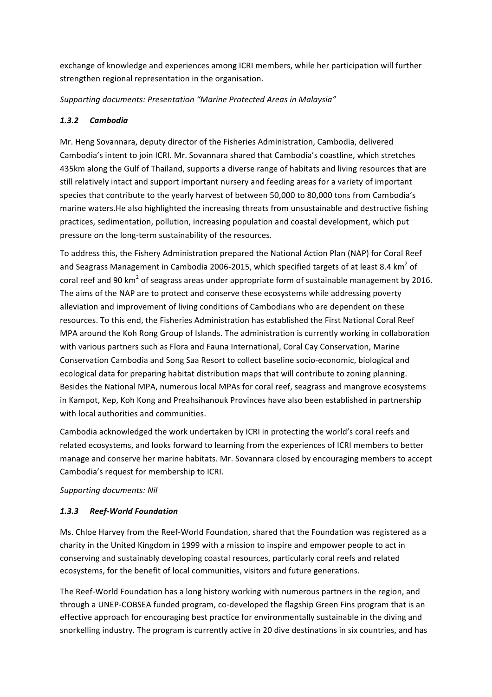exchange of knowledge and experiences among ICRI members, while her participation will further strengthen regional representation in the organisation.

*Supporting documents: Presentation "Marine Protected Areas in Malaysia"*

### *1.3.2 Cambodia*

Mr. Heng Sovannara, deputy director of the Fisheries Administration, Cambodia, delivered Cambodia's intent to join ICRI. Mr. Sovannara shared that Cambodia's coastline, which stretches 435km along the Gulf of Thailand, supports a diverse range of habitats and living resources that are still relatively intact and support important nursery and feeding areas for a variety of important species that contribute to the yearly harvest of between 50,000 to 80,000 tons from Cambodia's marine waters. He also highlighted the increasing threats from unsustainable and destructive fishing practices, sedimentation, pollution, increasing population and coastal development, which put pressure on the long-term sustainability of the resources.

To address this, the Fishery Administration prepared the National Action Plan (NAP) for Coral Reef and Seagrass Management in Cambodia 2006-2015, which specified targets of at least 8.4 km<sup>2</sup> of coral reef and 90 km<sup>2</sup> of seagrass areas under appropriate form of sustainable management by 2016. The aims of the NAP are to protect and conserve these ecosystems while addressing poverty alleviation and improvement of living conditions of Cambodians who are dependent on these resources. To this end, the Fisheries Administration has established the First National Coral Reef MPA around the Koh Rong Group of Islands. The administration is currently working in collaboration with various partners such as Flora and Fauna International, Coral Cay Conservation, Marine Conservation Cambodia and Song Saa Resort to collect baseline socio-economic, biological and ecological data for preparing habitat distribution maps that will contribute to zoning planning. Besides the National MPA, numerous local MPAs for coral reef, seagrass and mangrove ecosystems in Kampot, Kep, Koh Kong and Preahsihanouk Provinces have also been established in partnership with local authorities and communities.

Cambodia acknowledged the work undertaken by ICRI in protecting the world's coral reefs and related ecosystems, and looks forward to learning from the experiences of ICRI members to better manage and conserve her marine habitats. Mr. Sovannara closed by encouraging members to accept Cambodia's request for membership to ICRI.

### *Supporting documents: Nil*

# *1.3.3 Reef-World Foundation*

Ms. Chloe Harvey from the Reef-World Foundation, shared that the Foundation was registered as a charity in the United Kingdom in 1999 with a mission to inspire and empower people to act in conserving and sustainably developing coastal resources, particularly coral reefs and related ecosystems, for the benefit of local communities, visitors and future generations.

The Reef-World Foundation has a long history working with numerous partners in the region, and through a UNEP-COBSEA funded program, co-developed the flagship Green Fins program that is an effective approach for encouraging best practice for environmentally sustainable in the diving and snorkelling industry. The program is currently active in 20 dive destinations in six countries, and has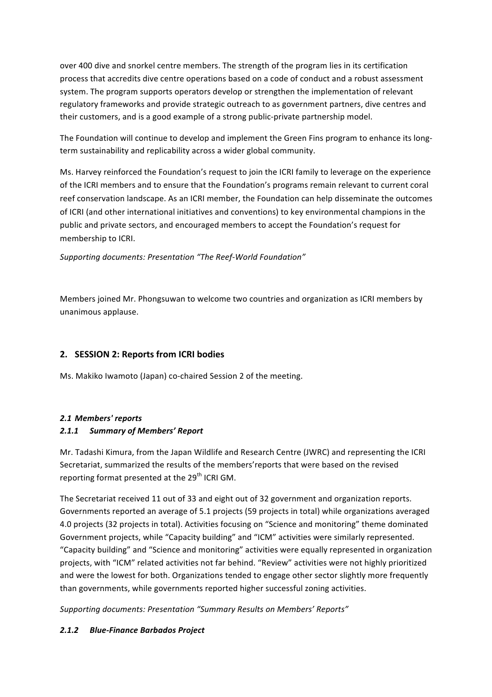over 400 dive and snorkel centre members. The strength of the program lies in its certification process that accredits dive centre operations based on a code of conduct and a robust assessment system. The program supports operators develop or strengthen the implementation of relevant regulatory frameworks and provide strategic outreach to as government partners, dive centres and their customers, and is a good example of a strong public-private partnership model.

The Foundation will continue to develop and implement the Green Fins program to enhance its longterm sustainability and replicability across a wider global community.

Ms. Harvey reinforced the Foundation's request to join the ICRI family to leverage on the experience of the ICRI members and to ensure that the Foundation's programs remain relevant to current coral reef conservation landscape. As an ICRI member, the Foundation can help disseminate the outcomes of ICRI (and other international initiatives and conventions) to key environmental champions in the public and private sectors, and encouraged members to accept the Foundation's request for membership to ICRI.

*Supporting documents: Presentation "The Reef-World Foundation"*

Members joined Mr. Phongsuwan to welcome two countries and organization as ICRI members by unanimous applause.

### **2. SESSION 2: Reports from ICRI bodies**

Ms. Makiko Iwamoto (Japan) co-chaired Session 2 of the meeting.

### *2.1 Members' reports 2.1.1 Summary of Members' Report*

Mr. Tadashi Kimura, from the Japan Wildlife and Research Centre (JWRC) and representing the ICRI Secretariat, summarized the results of the members' reports that were based on the revised reporting format presented at the  $29^{th}$  ICRI GM.

The Secretariat received 11 out of 33 and eight out of 32 government and organization reports. Governments reported an average of 5.1 projects (59 projects in total) while organizations averaged 4.0 projects (32 projects in total). Activities focusing on "Science and monitoring" theme dominated Government projects, while "Capacity building" and "ICM" activities were similarly represented. "Capacity building" and "Science and monitoring" activities were equally represented in organization projects, with "ICM" related activities not far behind. "Review" activities were not highly prioritized and were the lowest for both. Organizations tended to engage other sector slightly more frequently than governments, while governments reported higher successful zoning activities.

*Supporting documents: Presentation "Summary Results on Members' Reports"*

### *2.1.2 Blue-Finance Barbados Project*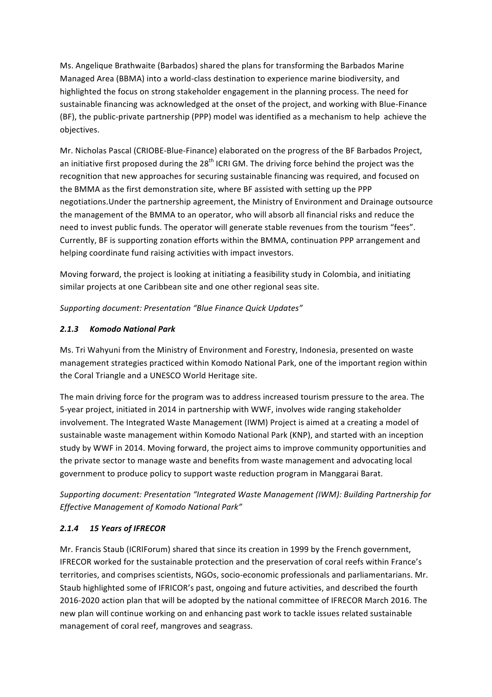Ms. Angelique Brathwaite (Barbados) shared the plans for transforming the Barbados Marine Managed Area (BBMA) into a world-class destination to experience marine biodiversity, and highlighted the focus on strong stakeholder engagement in the planning process. The need for sustainable financing was acknowledged at the onset of the project, and working with Blue-Finance (BF), the public-private partnership (PPP) model was identified as a mechanism to help achieve the objectives.

Mr. Nicholas Pascal (CRIOBE-Blue-Finance) elaborated on the progress of the BF Barbados Project, an initiative first proposed during the  $28<sup>th</sup>$  ICRI GM. The driving force behind the project was the recognition that new approaches for securing sustainable financing was required, and focused on the BMMA as the first demonstration site, where BF assisted with setting up the PPP negotiations. Under the partnership agreement, the Ministry of Environment and Drainage outsource the management of the BMMA to an operator, who will absorb all financial risks and reduce the need to invest public funds. The operator will generate stable revenues from the tourism "fees". Currently, BF is supporting zonation efforts within the BMMA, continuation PPP arrangement and helping coordinate fund raising activities with impact investors.

Moving forward, the project is looking at initiating a feasibility study in Colombia, and initiating similar projects at one Caribbean site and one other regional seas site.

*Supporting document: Presentation "Blue Finance Quick Updates"*

# *2.1.3 Komodo National Park*

Ms. Tri Wahyuni from the Ministry of Environment and Forestry, Indonesia, presented on waste management strategies practiced within Komodo National Park, one of the important region within the Coral Triangle and a UNESCO World Heritage site.

The main driving force for the program was to address increased tourism pressure to the area. The 5-year project, initiated in 2014 in partnership with WWF, involves wide ranging stakeholder involvement. The Integrated Waste Management (IWM) Project is aimed at a creating a model of sustainable waste management within Komodo National Park (KNP), and started with an inception study by WWF in 2014. Moving forward, the project aims to improve community opportunities and the private sector to manage waste and benefits from waste management and advocating local government to produce policy to support waste reduction program in Manggarai Barat.

Supporting document: Presentation "Integrated Waste Management (IWM): Building Partnership for *Effective Management of Komodo National Park"*

# *2.1.4 15 Years of IFRECOR*

Mr. Francis Staub (ICRIForum) shared that since its creation in 1999 by the French government, IFRECOR worked for the sustainable protection and the preservation of coral reefs within France's territories, and comprises scientists, NGOs, socio-economic professionals and parliamentarians. Mr. Staub highlighted some of IFRICOR's past, ongoing and future activities, and described the fourth 2016-2020 action plan that will be adopted by the national committee of IFRECOR March 2016. The new plan will continue working on and enhancing past work to tackle issues related sustainable management of coral reef, mangroves and seagrass.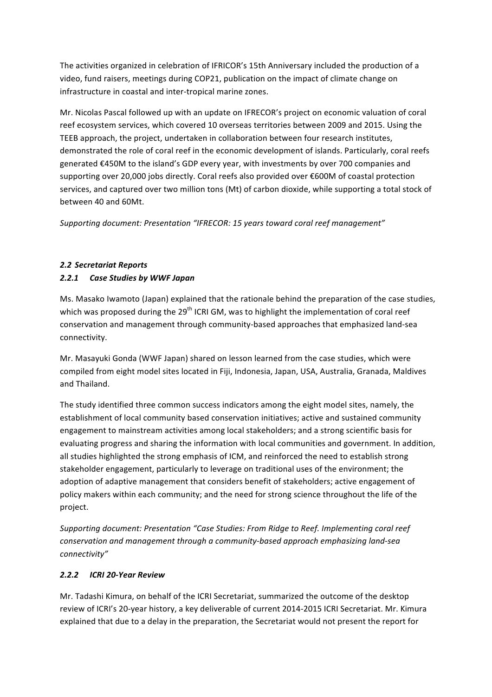The activities organized in celebration of IFRICOR's 15th Anniversary included the production of a video, fund raisers, meetings during COP21, publication on the impact of climate change on infrastructure in coastal and inter-tropical marine zones.

Mr. Nicolas Pascal followed up with an update on IFRECOR's project on economic valuation of coral reef ecosystem services, which covered 10 overseas territories between 2009 and 2015. Using the TEEB approach, the project, undertaken in collaboration between four research institutes, demonstrated the role of coral reef in the economic development of islands. Particularly, coral reefs generated €450M to the island's GDP every year, with investments by over 700 companies and supporting over 20,000 jobs directly. Coral reefs also provided over €600M of coastal protection services, and captured over two million tons (Mt) of carbon dioxide, while supporting a total stock of between 40 and 60Mt.

Supporting document: Presentation "IFRECOR: 15 years toward coral reef management"

# *2.2 Secretariat Reports 2.2.1 Case Studies by WWF Japan*

Ms. Masako Iwamoto (Japan) explained that the rationale behind the preparation of the case studies, which was proposed during the  $29<sup>th</sup>$  ICRI GM, was to highlight the implementation of coral reef conservation and management through community-based approaches that emphasized land-sea connectivity.

Mr. Masayuki Gonda (WWF Japan) shared on lesson learned from the case studies, which were compiled from eight model sites located in Fiji, Indonesia, Japan, USA, Australia, Granada, Maldives and Thailand.

The study identified three common success indicators among the eight model sites, namely, the establishment of local community based conservation initiatives; active and sustained community engagement to mainstream activities among local stakeholders; and a strong scientific basis for evaluating progress and sharing the information with local communities and government. In addition, all studies highlighted the strong emphasis of ICM, and reinforced the need to establish strong stakeholder engagement, particularly to leverage on traditional uses of the environment; the adoption of adaptive management that considers benefit of stakeholders; active engagement of policy makers within each community; and the need for strong science throughout the life of the project.

Supporting document: Presentation "Case Studies: From Ridge to Reef. Implementing coral reef *conservation and management through a community-based approach emphasizing land-sea connectivity"*

# *2.2.2 ICRI 20-Year Review*

Mr. Tadashi Kimura, on behalf of the ICRI Secretariat, summarized the outcome of the desktop review of ICRI's 20-year history, a key deliverable of current 2014-2015 ICRI Secretariat. Mr. Kimura explained that due to a delay in the preparation, the Secretariat would not present the report for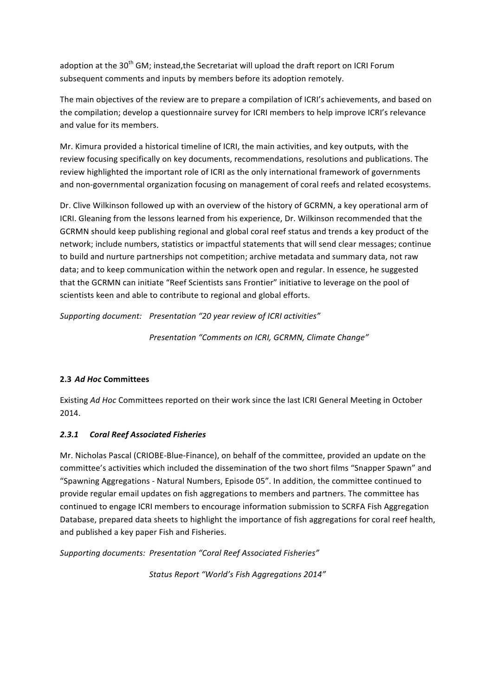adoption at the 30<sup>th</sup> GM; instead,the Secretariat will upload the draft report on ICRI Forum subsequent comments and inputs by members before its adoption remotely.

The main objectives of the review are to prepare a compilation of ICRI's achievements, and based on the compilation; develop a questionnaire survey for ICRI members to help improve ICRI's relevance and value for its members.

Mr. Kimura provided a historical timeline of ICRI, the main activities, and key outputs, with the review focusing specifically on key documents, recommendations, resolutions and publications. The review highlighted the important role of ICRI as the only international framework of governments and non-governmental organization focusing on management of coral reefs and related ecosystems.

Dr. Clive Wilkinson followed up with an overview of the history of GCRMN, a key operational arm of ICRI. Gleaning from the lessons learned from his experience, Dr. Wilkinson recommended that the GCRMN should keep publishing regional and global coral reef status and trends a key product of the network; include numbers, statistics or impactful statements that will send clear messages; continue to build and nurture partnerships not competition; archive metadata and summary data, not raw data; and to keep communication within the network open and regular. In essence, he suggested that the GCRMN can initiate "Reef Scientists sans Frontier" initiative to leverage on the pool of scientists keen and able to contribute to regional and global efforts.

*Supporting document: Presentation "20 year review of ICRI activities"*

*Presentation "Comments on ICRI, GCRMN, Climate Change"*

# **2.3** *Ad Hoc* **Committees**

Existing Ad Hoc Committees reported on their work since the last ICRI General Meeting in October 2014.

# *2.3.1 Coral Reef Associated Fisheries*

Mr. Nicholas Pascal (CRIOBE-Blue-Finance), on behalf of the committee, provided an update on the committee's activities which included the dissemination of the two short films "Snapper Spawn" and "Spawning Aggregations - Natural Numbers, Episode 05". In addition, the committee continued to provide regular email updates on fish aggregations to members and partners. The committee has continued to engage ICRI members to encourage information submission to SCRFA Fish Aggregation Database, prepared data sheets to highlight the importance of fish aggregations for coral reef health, and published a key paper Fish and Fisheries.

*Supporting documents: Presentation "Coral Reef Associated Fisheries"*

*Status Report "World's Fish Aggregations 2014"*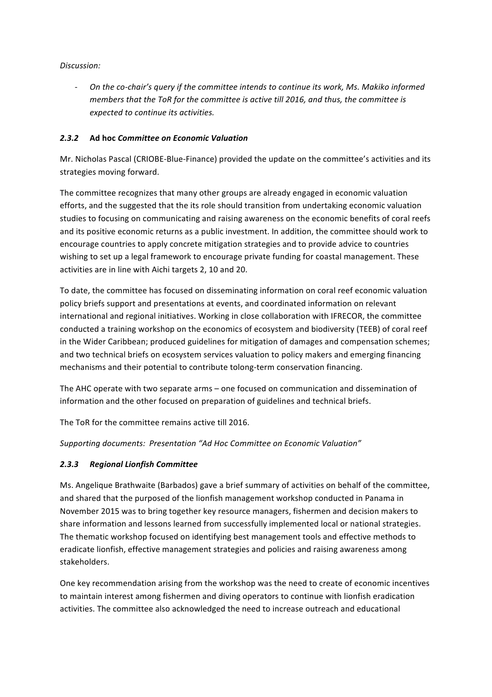*Discussion:*

- On the co-chair's query if the committee intends to continue its work, Ms. Makiko informed *members that the ToR for the committee is active till 2016, and thus, the committee is expected to continue its activities.*

#### *2.3.2* **Ad hoc** *Committee on Economic Valuation*

Mr. Nicholas Pascal (CRIOBE-Blue-Finance) provided the update on the committee's activities and its strategies moving forward.

The committee recognizes that many other groups are already engaged in economic valuation efforts, and the suggested that the its role should transition from undertaking economic valuation studies to focusing on communicating and raising awareness on the economic benefits of coral reefs and its positive economic returns as a public investment. In addition, the committee should work to encourage countries to apply concrete mitigation strategies and to provide advice to countries wishing to set up a legal framework to encourage private funding for coastal management. These activities are in line with Aichi targets 2, 10 and 20.

To date, the committee has focused on disseminating information on coral reef economic valuation policy briefs support and presentations at events, and coordinated information on relevant international and regional initiatives. Working in close collaboration with IFRECOR, the committee conducted a training workshop on the economics of ecosystem and biodiversity (TEEB) of coral reef in the Wider Caribbean; produced guidelines for mitigation of damages and compensation schemes; and two technical briefs on ecosystem services valuation to policy makers and emerging financing mechanisms and their potential to contribute tolong-term conservation financing.

The AHC operate with two separate arms – one focused on communication and dissemination of information and the other focused on preparation of guidelines and technical briefs.

The ToR for the committee remains active till 2016.

*Supporting documents: Presentation "Ad Hoc Committee on Economic Valuation"*

#### *2.3.3 Regional Lionfish Committee*

Ms. Angelique Brathwaite (Barbados) gave a brief summary of activities on behalf of the committee, and shared that the purposed of the lionfish management workshop conducted in Panama in November 2015 was to bring together key resource managers, fishermen and decision makers to share information and lessons learned from successfully implemented local or national strategies. The thematic workshop focused on identifying best management tools and effective methods to eradicate lionfish, effective management strategies and policies and raising awareness among stakeholders.

One key recommendation arising from the workshop was the need to create of economic incentives to maintain interest among fishermen and diving operators to continue with lionfish eradication activities. The committee also acknowledged the need to increase outreach and educational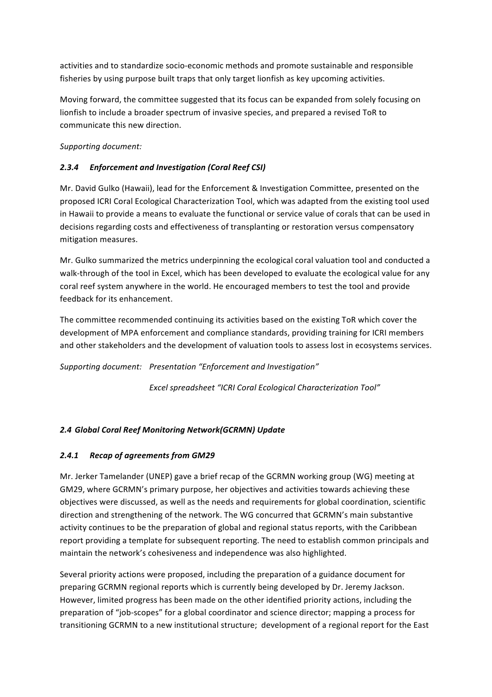activities and to standardize socio-economic methods and promote sustainable and responsible fisheries by using purpose built traps that only target lionfish as key upcoming activities.

Moving forward, the committee suggested that its focus can be expanded from solely focusing on lionfish to include a broader spectrum of invasive species, and prepared a revised ToR to communicate this new direction.

Supporting document:

# *2.3.4 Enforcement and Investigation (Coral Reef CSI)*

Mr. David Gulko (Hawaii), lead for the Enforcement & Investigation Committee, presented on the proposed ICRI Coral Ecological Characterization Tool, which was adapted from the existing tool used in Hawaii to provide a means to evaluate the functional or service value of corals that can be used in decisions regarding costs and effectiveness of transplanting or restoration versus compensatory mitigation measures.

Mr. Gulko summarized the metrics underpinning the ecological coral valuation tool and conducted a walk-through of the tool in Excel, which has been developed to evaluate the ecological value for any coral reef system anywhere in the world. He encouraged members to test the tool and provide feedback for its enhancement.

The committee recommended continuing its activities based on the existing ToR which cover the development of MPA enforcement and compliance standards, providing training for ICRI members and other stakeholders and the development of valuation tools to assess lost in ecosystems services.

*Supporting document: Presentation "Enforcement and Investigation"*

*Excel spreadsheet "ICRI Coral Ecological Characterization Tool"*

# *2.4 Global Coral Reef Monitoring Network(GCRMN) Update*

### *2.4.1 Recap of agreements from GM29*

Mr. Jerker Tamelander (UNEP) gave a brief recap of the GCRMN working group (WG) meeting at GM29, where GCRMN's primary purpose, her objectives and activities towards achieving these objectives were discussed, as well as the needs and requirements for global coordination, scientific direction and strengthening of the network. The WG concurred that GCRMN's main substantive activity continues to be the preparation of global and regional status reports, with the Caribbean report providing a template for subsequent reporting. The need to establish common principals and maintain the network's cohesiveness and independence was also highlighted.

Several priority actions were proposed, including the preparation of a guidance document for preparing GCRMN regional reports which is currently being developed by Dr. Jeremy Jackson. However, limited progress has been made on the other identified priority actions, including the preparation of "job-scopes" for a global coordinator and science director; mapping a process for transitioning GCRMN to a new institutional structure; development of a regional report for the East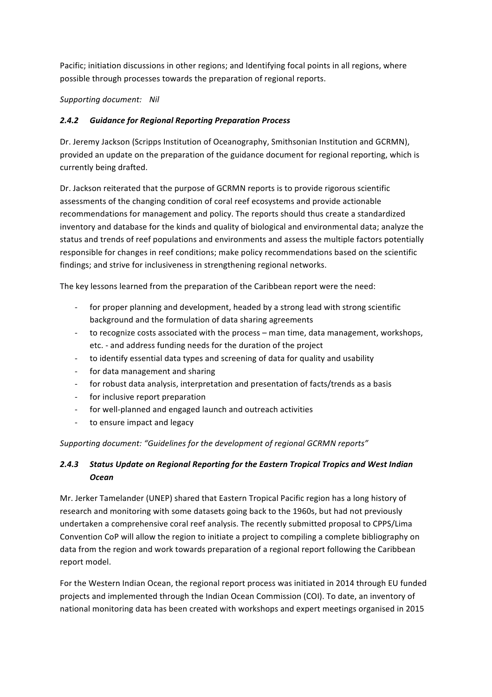Pacific; initiation discussions in other regions; and Identifying focal points in all regions, where possible through processes towards the preparation of regional reports.

*Supporting document: Nil*

### *2.4.2 Guidance for Regional Reporting Preparation Process*

Dr. Jeremy Jackson (Scripps Institution of Oceanography, Smithsonian Institution and GCRMN), provided an update on the preparation of the guidance document for regional reporting, which is currently being drafted.

Dr. Jackson reiterated that the purpose of GCRMN reports is to provide rigorous scientific assessments of the changing condition of coral reef ecosystems and provide actionable recommendations for management and policy. The reports should thus create a standardized inventory and database for the kinds and quality of biological and environmental data; analyze the status and trends of reef populations and environments and assess the multiple factors potentially responsible for changes in reef conditions; make policy recommendations based on the scientific findings; and strive for inclusiveness in strengthening regional networks.

The key lessons learned from the preparation of the Caribbean report were the need:

- for proper planning and development, headed by a strong lead with strong scientific background and the formulation of data sharing agreements
- to recognize costs associated with the process man time, data management, workshops, etc. - and address funding needs for the duration of the project
- to identify essential data types and screening of data for quality and usability
- for data management and sharing
- for robust data analysis, interpretation and presentation of facts/trends as a basis
- for inclusive report preparation
- for well-planned and engaged launch and outreach activities
- to ensure impact and legacy

Supporting document: "Guidelines for the development of regional GCRMN reports"

# 2.4.3 Status Update on Regional Reporting for the Eastern Tropical Tropics and West Indian *Ocean*

Mr. Jerker Tamelander (UNEP) shared that Eastern Tropical Pacific region has a long history of research and monitoring with some datasets going back to the 1960s, but had not previously undertaken a comprehensive coral reef analysis. The recently submitted proposal to CPPS/Lima Convention CoP will allow the region to initiate a project to compiling a complete bibliography on data from the region and work towards preparation of a regional report following the Caribbean report model.

For the Western Indian Ocean, the regional report process was initiated in 2014 through EU funded projects and implemented through the Indian Ocean Commission (COI). To date, an inventory of national monitoring data has been created with workshops and expert meetings organised in 2015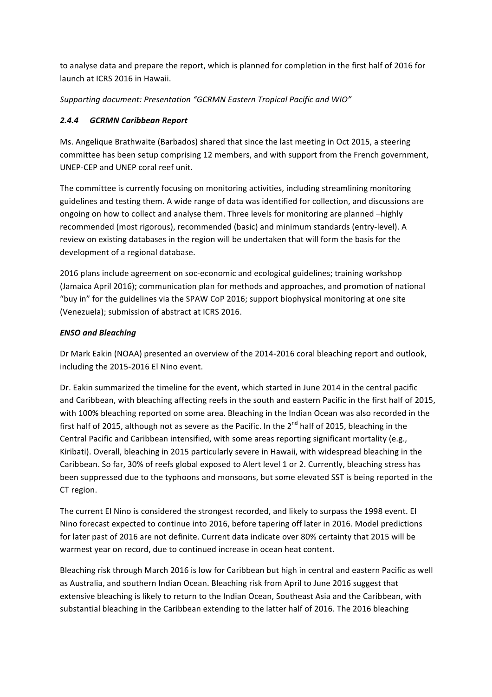to analyse data and prepare the report, which is planned for completion in the first half of 2016 for launch at ICRS 2016 in Hawaii.

*Supporting document: Presentation "GCRMN Eastern Tropical Pacific and WIO"*

# *2.4.4 GCRMN Caribbean Report*

Ms. Angelique Brathwaite (Barbados) shared that since the last meeting in Oct 2015, a steering committee has been setup comprising 12 members, and with support from the French government, UNEP-CEP and UNEP coral reef unit.

The committee is currently focusing on monitoring activities, including streamlining monitoring guidelines and testing them. A wide range of data was identified for collection, and discussions are ongoing on how to collect and analyse them. Three levels for monitoring are planned -highly recommended (most rigorous), recommended (basic) and minimum standards (entry-level). A review on existing databases in the region will be undertaken that will form the basis for the development of a regional database.

2016 plans include agreement on soc-economic and ecological guidelines; training workshop (Jamaica April 2016); communication plan for methods and approaches, and promotion of national "buy in" for the guidelines via the SPAW CoP 2016; support biophysical monitoring at one site (Venezuela); submission of abstract at ICRS 2016.

# *ENSO and Bleaching*

Dr Mark Eakin (NOAA) presented an overview of the 2014-2016 coral bleaching report and outlook, including the 2015-2016 El Nino event.

Dr. Eakin summarized the timeline for the event, which started in June 2014 in the central pacific and Caribbean, with bleaching affecting reefs in the south and eastern Pacific in the first half of 2015, with 100% bleaching reported on some area. Bleaching in the Indian Ocean was also recorded in the first half of 2015, although not as severe as the Pacific. In the  $2^{nd}$  half of 2015, bleaching in the Central Pacific and Caribbean intensified, with some areas reporting significant mortality (e.g., Kiribati). Overall, bleaching in 2015 particularly severe in Hawaii, with widespread bleaching in the Caribbean. So far, 30% of reefs global exposed to Alert level 1 or 2. Currently, bleaching stress has been suppressed due to the typhoons and monsoons, but some elevated SST is being reported in the CT region.

The current El Nino is considered the strongest recorded, and likely to surpass the 1998 event. El Nino forecast expected to continue into 2016, before tapering off later in 2016. Model predictions for later past of 2016 are not definite. Current data indicate over 80% certainty that 2015 will be warmest year on record, due to continued increase in ocean heat content.

Bleaching risk through March 2016 is low for Caribbean but high in central and eastern Pacific as well as Australia, and southern Indian Ocean. Bleaching risk from April to June 2016 suggest that extensive bleaching is likely to return to the Indian Ocean, Southeast Asia and the Caribbean, with substantial bleaching in the Caribbean extending to the latter half of 2016. The 2016 bleaching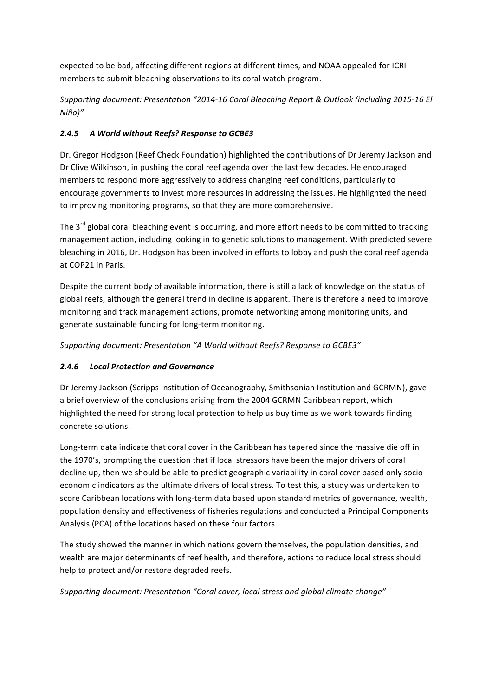expected to be bad, affecting different regions at different times, and NOAA appealed for ICRI members to submit bleaching observations to its coral watch program.

*Supporting document: Presentation "2014-16 Coral Bleaching Report & Outlook (including 2015-16 El Niño)"*

# *2.4.5 A World without Reefs? Response to GCBE3*

Dr. Gregor Hodgson (Reef Check Foundation) highlighted the contributions of Dr Jeremy Jackson and Dr Clive Wilkinson, in pushing the coral reef agenda over the last few decades. He encouraged members to respond more aggressively to address changing reef conditions, particularly to encourage governments to invest more resources in addressing the issues. He highlighted the need to improving monitoring programs, so that they are more comprehensive.

The  $3^{rd}$  global coral bleaching event is occurring, and more effort needs to be committed to tracking management action, including looking in to genetic solutions to management. With predicted severe bleaching in 2016, Dr. Hodgson has been involved in efforts to lobby and push the coral reef agenda at COP21 in Paris.

Despite the current body of available information, there is still a lack of knowledge on the status of global reefs, although the general trend in decline is apparent. There is therefore a need to improve monitoring and track management actions, promote networking among monitoring units, and generate sustainable funding for long-term monitoring.

Supporting document: Presentation "A World without Reefs? Response to GCBE3"

# *2.4.6 Local Protection and Governance*

Dr Jeremy Jackson (Scripps Institution of Oceanography, Smithsonian Institution and GCRMN), gave a brief overview of the conclusions arising from the 2004 GCRMN Caribbean report, which highlighted the need for strong local protection to help us buy time as we work towards finding concrete solutions.

Long-term data indicate that coral cover in the Caribbean has tapered since the massive die off in the 1970's, prompting the question that if local stressors have been the major drivers of coral decline up, then we should be able to predict geographic variability in coral cover based only socioeconomic indicators as the ultimate drivers of local stress. To test this, a study was undertaken to score Caribbean locations with long-term data based upon standard metrics of governance, wealth, population density and effectiveness of fisheries regulations and conducted a Principal Components Analysis (PCA) of the locations based on these four factors.

The study showed the manner in which nations govern themselves, the population densities, and wealth are major determinants of reef health, and therefore, actions to reduce local stress should help to protect and/or restore degraded reefs.

Supporting document: Presentation "Coral cover, local stress and global climate change"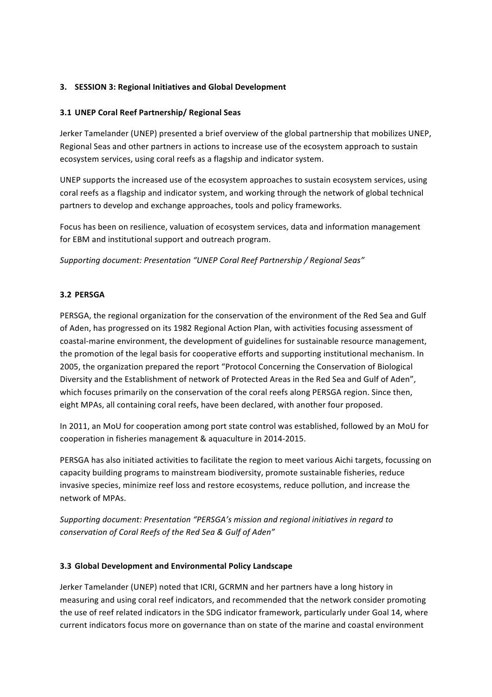#### **3. SESSION 3: Regional Initiatives and Global Development**

#### **3.1 UNEP Coral Reef Partnership/ Regional Seas**

Jerker Tamelander (UNEP) presented a brief overview of the global partnership that mobilizes UNEP, Regional Seas and other partners in actions to increase use of the ecosystem approach to sustain ecosystem services, using coral reefs as a flagship and indicator system.

UNEP supports the increased use of the ecosystem approaches to sustain ecosystem services, using coral reefs as a flagship and indicator system, and working through the network of global technical partners to develop and exchange approaches, tools and policy frameworks.

Focus has been on resilience, valuation of ecosystem services, data and information management for EBM and institutional support and outreach program.

Supporting document: Presentation "UNEP Coral Reef Partnership / Regional Seas"

#### **3.2 PERSGA**

PERSGA, the regional organization for the conservation of the environment of the Red Sea and Gulf of Aden, has progressed on its 1982 Regional Action Plan, with activities focusing assessment of coastal-marine environment, the development of guidelines for sustainable resource management, the promotion of the legal basis for cooperative efforts and supporting institutional mechanism. In 2005, the organization prepared the report "Protocol Concerning the Conservation of Biological Diversity and the Establishment of network of Protected Areas in the Red Sea and Gulf of Aden", which focuses primarily on the conservation of the coral reefs along PERSGA region. Since then, eight MPAs, all containing coral reefs, have been declared, with another four proposed.

In 2011, an MoU for cooperation among port state control was established, followed by an MoU for cooperation in fisheries management & aquaculture in 2014-2015.

PERSGA has also initiated activities to facilitate the region to meet various Aichi targets, focussing on capacity building programs to mainstream biodiversity, promote sustainable fisheries, reduce invasive species, minimize reef loss and restore ecosystems, reduce pollution, and increase the network of MPAs.

Supporting document: Presentation "PERSGA's mission and regional initiatives in regard to *conservation of Coral Reefs of the Red Sea & Gulf of Aden"*

#### **3.3 Global Development and Environmental Policy Landscape**

Jerker Tamelander (UNEP) noted that ICRI, GCRMN and her partners have a long history in measuring and using coral reef indicators, and recommended that the network consider promoting the use of reef related indicators in the SDG indicator framework, particularly under Goal 14, where current indicators focus more on governance than on state of the marine and coastal environment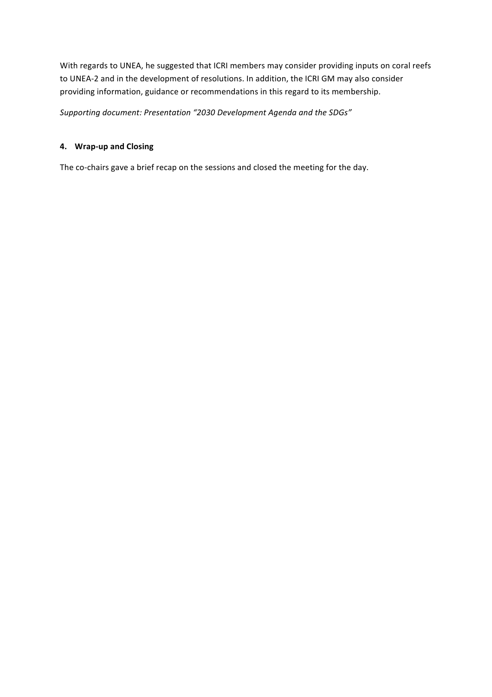With regards to UNEA, he suggested that ICRI members may consider providing inputs on coral reefs to UNEA-2 and in the development of resolutions. In addition, the ICRI GM may also consider providing information, guidance or recommendations in this regard to its membership.

Supporting document: Presentation "2030 Development Agenda and the SDGs"

# **4. Wrap-up and Closing**

The co-chairs gave a brief recap on the sessions and closed the meeting for the day.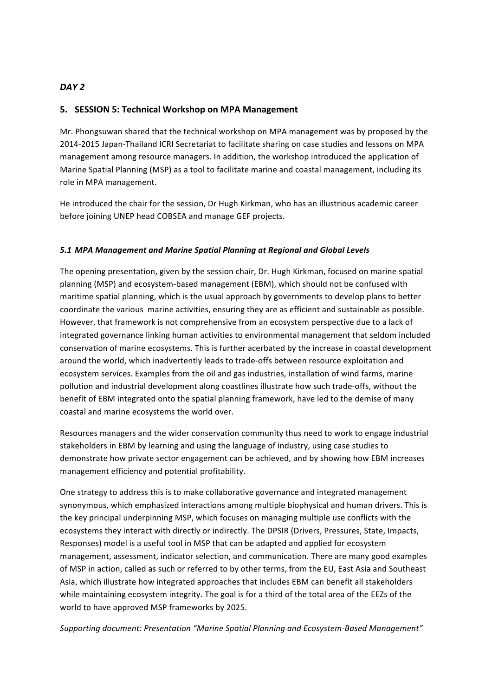### *DAY 2*

### **5. SESSION 5: Technical Workshop on MPA Management**

Mr. Phongsuwan shared that the technical workshop on MPA management was by proposed by the 2014-2015 Japan-Thailand ICRI Secretariat to facilitate sharing on case studies and lessons on MPA management among resource managers. In addition, the workshop introduced the application of Marine Spatial Planning (MSP) as a tool to facilitate marine and coastal management, including its role in MPA management.

He introduced the chair for the session, Dr Hugh Kirkman, who has an illustrious academic career before joining UNEP head COBSEA and manage GEF projects.

#### *5.1 MPA Management and Marine Spatial Planning at Regional and Global Levels*

The opening presentation, given by the session chair, Dr. Hugh Kirkman, focused on marine spatial planning (MSP) and ecosystem-based management (EBM), which should not be confused with maritime spatial planning, which is the usual approach by governments to develop plans to better coordinate the various marine activities, ensuring they are as efficient and sustainable as possible. However, that framework is not comprehensive from an ecosystem perspective due to a lack of integrated governance linking human activities to environmental management that seldom included conservation of marine ecosystems. This is further acerbated by the increase in coastal development around the world, which inadvertently leads to trade-offs between resource exploitation and ecosystem services. Examples from the oil and gas industries, installation of wind farms, marine pollution and industrial development along coastlines illustrate how such trade-offs, without the benefit of EBM integrated onto the spatial planning framework, have led to the demise of many coastal and marine ecosystems the world over.

Resources managers and the wider conservation community thus need to work to engage industrial stakeholders in EBM by learning and using the language of industry, using case studies to demonstrate how private sector engagement can be achieved, and by showing how EBM increases management efficiency and potential profitability.

One strategy to address this is to make collaborative governance and integrated management synonymous, which emphasized interactions among multiple biophysical and human drivers. This is the key principal underpinning MSP, which focuses on managing multiple use conflicts with the ecosystems they interact with directly or indirectly. The DPSIR (Drivers, Pressures, State, Impacts, Responses) model is a useful tool in MSP that can be adapted and applied for ecosystem management, assessment, indicator selection, and communication. There are many good examples of MSP in action, called as such or referred to by other terms, from the EU, East Asia and Southeast Asia, which illustrate how integrated approaches that includes EBM can benefit all stakeholders while maintaining ecosystem integrity. The goal is for a third of the total area of the EEZs of the world to have approved MSP frameworks by 2025.

Supporting document: Presentation "Marine Spatial Planning and Ecosystem-Based Management"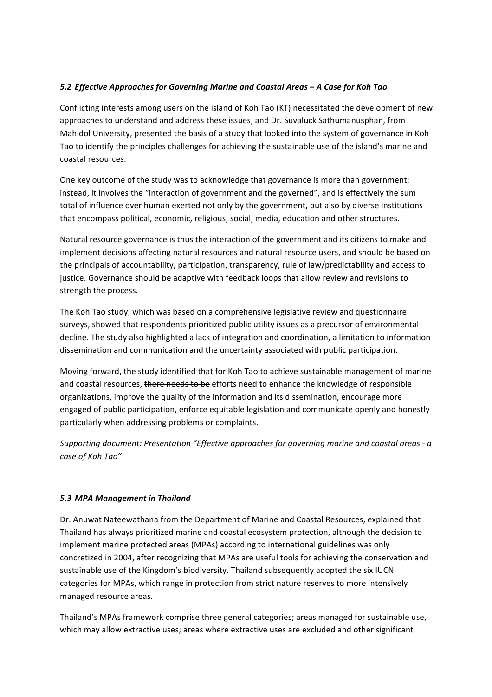### *5.2 Effective Approaches for Governing Marine and Coastal Areas – A Case for Koh Tao*

Conflicting interests among users on the island of Koh Tao (KT) necessitated the development of new approaches to understand and address these issues, and Dr. Suvaluck Sathumanusphan, from Mahidol University, presented the basis of a study that looked into the system of governance in Koh Tao to identify the principles challenges for achieving the sustainable use of the island's marine and coastal resources.

One key outcome of the study was to acknowledge that governance is more than government; instead, it involves the "interaction of government and the governed", and is effectively the sum total of influence over human exerted not only by the government, but also by diverse institutions that encompass political, economic, religious, social, media, education and other structures.

Natural resource governance is thus the interaction of the government and its citizens to make and implement decisions affecting natural resources and natural resource users, and should be based on the principals of accountability, participation, transparency, rule of law/predictability and access to justice. Governance should be adaptive with feedback loops that allow review and revisions to strength the process.

The Koh Tao study, which was based on a comprehensive legislative review and questionnaire surveys, showed that respondents prioritized public utility issues as a precursor of environmental decline. The study also highlighted a lack of integration and coordination, a limitation to information dissemination and communication and the uncertainty associated with public participation.

Moving forward, the study identified that for Koh Tao to achieve sustainable management of marine and coastal resources, there needs to be efforts need to enhance the knowledge of responsible organizations, improve the quality of the information and its dissemination, encourage more engaged of public participation, enforce equitable legislation and communicate openly and honestly particularly when addressing problems or complaints.

*Supporting document: Presentation "Effective approaches for governing marine and coastal areas - a case of Koh Tao"*

### **5.3 MPA Management in Thailand**

Dr. Anuwat Nateewathana from the Department of Marine and Coastal Resources, explained that Thailand has always prioritized marine and coastal ecosystem protection, although the decision to implement marine protected areas (MPAs) according to international guidelines was only concretized in 2004, after recognizing that MPAs are useful tools for achieving the conservation and sustainable use of the Kingdom's biodiversity. Thailand subsequently adopted the six IUCN categories for MPAs, which range in protection from strict nature reserves to more intensively managed resource areas.

Thailand's MPAs framework comprise three general categories; areas managed for sustainable use, which may allow extractive uses; areas where extractive uses are excluded and other significant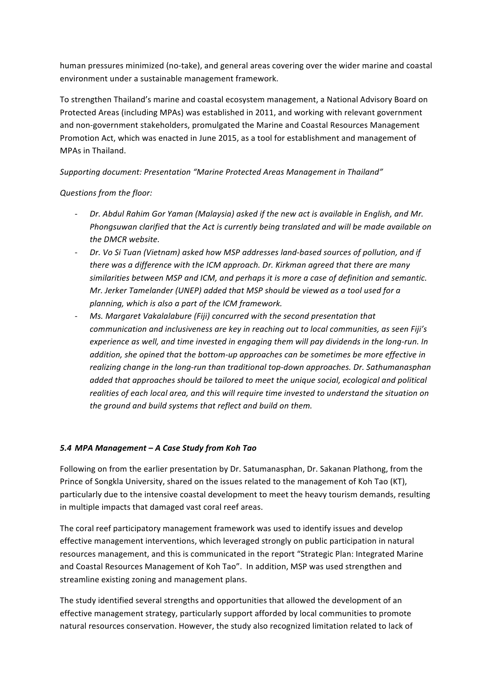human pressures minimized (no-take), and general areas covering over the wider marine and coastal environment under a sustainable management framework.

To strengthen Thailand's marine and coastal ecosystem management, a National Advisory Board on Protected Areas (including MPAs) was established in 2011, and working with relevant government and non-government stakeholders, promulgated the Marine and Coastal Resources Management Promotion Act, which was enacted in June 2015, as a tool for establishment and management of MPAs in Thailand.

### Supporting document: Presentation "Marine Protected Areas Management in Thailand"

#### *Questions from the floor:*

- Dr. Abdul Rahim Gor Yaman (Malaysia) asked if the new act is available in English, and Mr. *Phongsuwan clarified that the Act is currently being translated and will be made available on* the DMCR website.
- Dr. Vo Si Tuan (Vietnam) asked how MSP addresses land-based sources of pollution, and if *there* was a difference with the ICM approach. Dr. Kirkman agreed that there are many similarities between MSP and ICM, and perhaps it is more a case of definition and semantic. *Mr. Jerker Tamelander* (UNEP) added that MSP should be viewed as a tool used for a planning, which is also a part of the ICM framework.
- *Ms. Margaret Vakalalabure (Fiji) concurred with the second presentation that communication and inclusiveness are key in reaching out to local communities, as seen Fiji's experience as well, and time invested in engaging them will pay dividends in the long-run. In* addition, she opined that the bottom-up approaches can be sometimes be more effective in realizing change in the long-run than traditional top-down approaches. Dr. Sathumanasphan added that approaches should be tailored to meet the unique social, ecological and political realities of each local area, and this will require time invested to understand the situation on the ground and build systems that reflect and build on them.

#### *5.4 MPA Management – A Case Study from Koh Tao*

Following on from the earlier presentation by Dr. Satumanasphan, Dr. Sakanan Plathong, from the Prince of Songkla University, shared on the issues related to the management of Koh Tao (KT), particularly due to the intensive coastal development to meet the heavy tourism demands, resulting in multiple impacts that damaged vast coral reef areas.

The coral reef participatory management framework was used to identify issues and develop effective management interventions, which leveraged strongly on public participation in natural resources management, and this is communicated in the report "Strategic Plan: Integrated Marine and Coastal Resources Management of Koh Tao". In addition, MSP was used strengthen and streamline existing zoning and management plans.

The study identified several strengths and opportunities that allowed the development of an effective management strategy, particularly support afforded by local communities to promote natural resources conservation. However, the study also recognized limitation related to lack of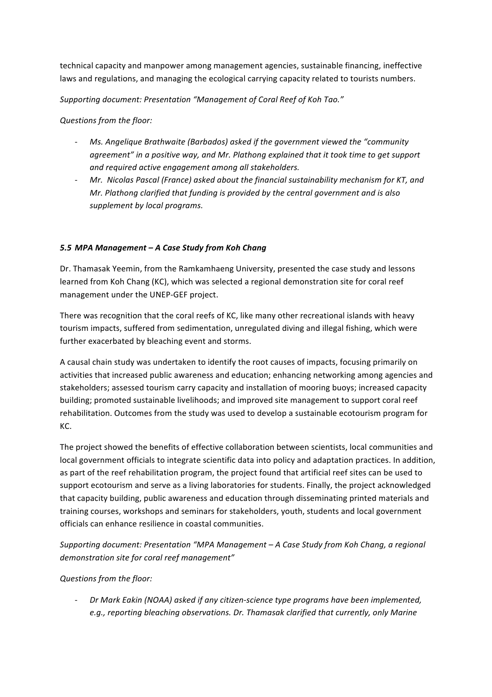technical capacity and manpower among management agencies, sustainable financing, ineffective laws and regulations, and managing the ecological carrying capacity related to tourists numbers.

*Supporting document: Presentation "Management of Coral Reef of Koh Tao."*

*Questions from the floor:*

- *Ms. Angelique Brathwaite (Barbados) asked if the government viewed the "community* agreement" in a positive way, and Mr. Plathong explained that it took time to get support and required active engagement among all stakeholders.
- Mr. Nicolas Pascal (France) asked about the financial sustainability mechanism for KT, and *Mr. Plathong clarified that funding is provided by the central government and is also supplement by local programs.*

### *5.5 MPA Management – A Case Study from Koh Chang*

Dr. Thamasak Yeemin, from the Ramkamhaeng University, presented the case study and lessons learned from Koh Chang (KC), which was selected a regional demonstration site for coral reef management under the UNEP-GEF project.

There was recognition that the coral reefs of KC, like many other recreational islands with heavy tourism impacts, suffered from sedimentation, unregulated diving and illegal fishing, which were further exacerbated by bleaching event and storms.

A causal chain study was undertaken to identify the root causes of impacts, focusing primarily on activities that increased public awareness and education; enhancing networking among agencies and stakeholders; assessed tourism carry capacity and installation of mooring buoys; increased capacity building; promoted sustainable livelihoods; and improved site management to support coral reef rehabilitation. Outcomes from the study was used to develop a sustainable ecotourism program for KC.

The project showed the benefits of effective collaboration between scientists, local communities and local government officials to integrate scientific data into policy and adaptation practices. In addition, as part of the reef rehabilitation program, the project found that artificial reef sites can be used to support ecotourism and serve as a living laboratories for students. Finally, the project acknowledged that capacity building, public awareness and education through disseminating printed materials and training courses, workshops and seminars for stakeholders, youth, students and local government officials can enhance resilience in coastal communities.

*Supporting document: Presentation* "MPA Management – A Case Study from Koh Chang, a regional *demonstration site for coral reef management"*

### *Questions from the floor:*

- *Dr Mark Eakin (NOAA)* asked if any citizen-science type programs have been implemented, e.g., reporting bleaching observations. Dr. Thamasak clarified that currently, only Marine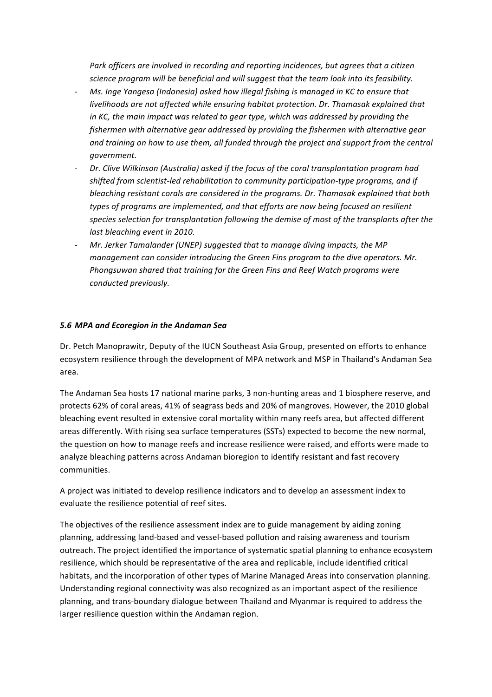Park officers are involved in recording and reporting incidences, but agrees that a citizen science program will be beneficial and will suggest that the team look into its feasibility.

- Ms. Inge Yangesa (Indonesia) asked how illegal fishing is managed in KC to ensure that *livelihoods are not affected while ensuring habitat protection. Dr. Thamasak explained that in* KC, the main impact was related to gear type, which was addressed by providing the *fishermen* with alternative gear addressed by providing the fishermen with alternative gear and training on how to use them, all funded through the project and support from the central *government.*
- Dr. Clive Wilkinson (Australia) asked if the focus of the coral transplantation program had *shifted from scientist-led rehabilitation to community participation-type programs, and if* bleaching resistant corals are considered in the programs. Dr. Thamasak explained that both types of programs are *implemented, and that efforts are now being focused on resilient* species selection for transplantation following the demise of most of the transplants after the *last bleaching event in 2010.*
- Mr. Jerker Tamalander (UNEP) suggested that to manage diving impacts, the MP *management can consider introducing the Green Fins program to the dive operators. Mr.* Phongsuwan shared that training for the Green Fins and Reef Watch programs were *conducted previously.*

#### *5.6 MPA and Ecoregion in the Andaman Sea*

Dr. Petch Manoprawitr, Deputy of the IUCN Southeast Asia Group, presented on efforts to enhance ecosystem resilience through the development of MPA network and MSP in Thailand's Andaman Sea area.

The Andaman Sea hosts 17 national marine parks, 3 non-hunting areas and 1 biosphere reserve, and protects 62% of coral areas, 41% of seagrass beds and 20% of mangroves. However, the 2010 global bleaching event resulted in extensive coral mortality within many reefs area, but affected different areas differently. With rising sea surface temperatures (SSTs) expected to become the new normal, the question on how to manage reefs and increase resilience were raised, and efforts were made to analyze bleaching patterns across Andaman bioregion to identify resistant and fast recovery communities.

A project was initiated to develop resilience indicators and to develop an assessment index to evaluate the resilience potential of reef sites.

The objectives of the resilience assessment index are to guide management by aiding zoning planning, addressing land-based and vessel-based pollution and raising awareness and tourism outreach. The project identified the importance of systematic spatial planning to enhance ecosystem resilience, which should be representative of the area and replicable, include identified critical habitats, and the incorporation of other types of Marine Managed Areas into conservation planning. Understanding regional connectivity was also recognized as an important aspect of the resilience planning, and trans-boundary dialogue between Thailand and Myanmar is required to address the larger resilience question within the Andaman region.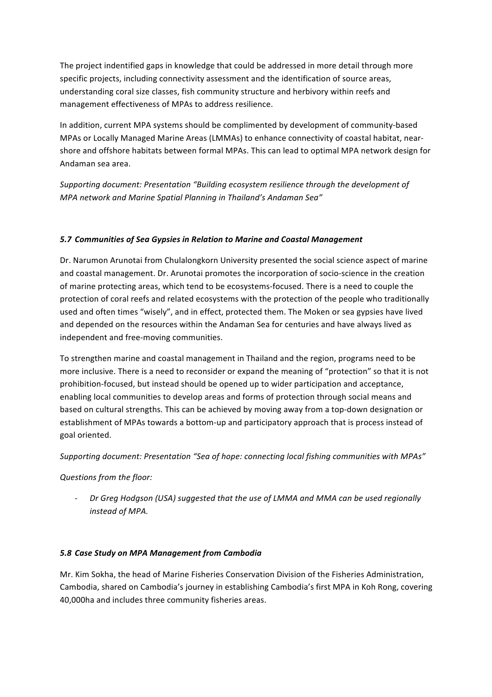The project indentified gaps in knowledge that could be addressed in more detail through more specific projects, including connectivity assessment and the identification of source areas, understanding coral size classes, fish community structure and herbivory within reefs and management effectiveness of MPAs to address resilience.

In addition, current MPA systems should be complimented by development of community-based MPAs or Locally Managed Marine Areas (LMMAs) to enhance connectivity of coastal habitat, nearshore and offshore habitats between formal MPAs. This can lead to optimal MPA network design for Andaman sea area. 

Supporting document: Presentation "Building ecosystem resilience through the development of *MPA* network and Marine Spatial Planning in Thailand's Andaman Sea"

#### **5.7 Communities of Sea Gypsies in Relation to Marine and Coastal Management**

Dr. Narumon Arunotai from Chulalongkorn University presented the social science aspect of marine and coastal management. Dr. Arunotai promotes the incorporation of socio-science in the creation of marine protecting areas, which tend to be ecosystems-focused. There is a need to couple the protection of coral reefs and related ecosystems with the protection of the people who traditionally used and often times "wisely", and in effect, protected them. The Moken or sea gypsies have lived and depended on the resources within the Andaman Sea for centuries and have always lived as independent and free-moving communities.

To strengthen marine and coastal management in Thailand and the region, programs need to be more inclusive. There is a need to reconsider or expand the meaning of "protection" so that it is not prohibition-focused, but instead should be opened up to wider participation and acceptance, enabling local communities to develop areas and forms of protection through social means and based on cultural strengths. This can be achieved by moving away from a top-down designation or establishment of MPAs towards a bottom-up and participatory approach that is process instead of goal oriented.

Supporting document: Presentation "Sea of hope: connecting local fishing communities with MPAs"

### *Questions from the floor:*

Dr Greg Hodgson (USA) suggested that the use of LMMA and MMA can be used regionally *instead of MPA.*

### *5.8 Case Study on MPA Management from Cambodia*

Mr. Kim Sokha, the head of Marine Fisheries Conservation Division of the Fisheries Administration, Cambodia, shared on Cambodia's journey in establishing Cambodia's first MPA in Koh Rong, covering 40,000ha and includes three community fisheries areas.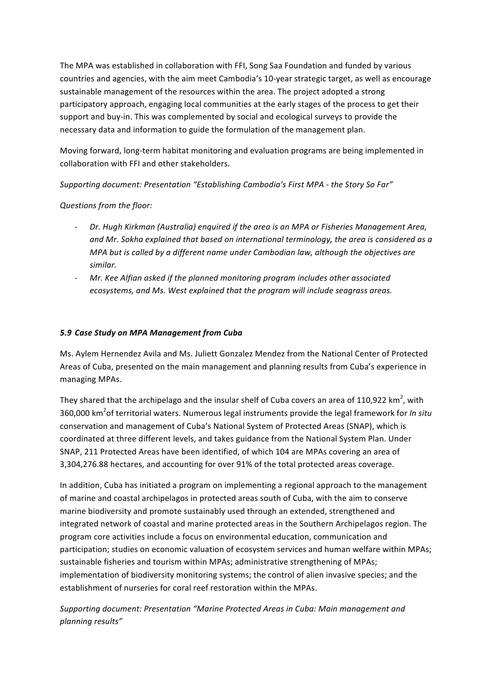The MPA was established in collaboration with FFI, Song Saa Foundation and funded by various countries and agencies, with the aim meet Cambodia's 10-year strategic target, as well as encourage sustainable management of the resources within the area. The project adopted a strong participatory approach, engaging local communities at the early stages of the process to get their support and buy-in. This was complemented by social and ecological surveys to provide the necessary data and information to guide the formulation of the management plan.

Moving forward, long-term habitat monitoring and evaluation programs are being implemented in collaboration with FFI and other stakeholders.

Supporting document: Presentation "Establishing Cambodia's First MPA - the Story So Far"

# *Questions from the floor:*

- *Dr.* Hugh Kirkman (Australia) enquired if the area is an MPA or Fisheries Management Area, and Mr. Sokha explained that based on international terminology, the area is considered as a *MPA* but is called by a different name under Cambodian law, although the objectives are *similar.*
- *Mr.* Kee Alfian asked if the planned monitoring program includes other associated ecosystems, and Ms. West explained that the program will include seagrass areas.

### *5.9 Case Study on MPA Management from Cuba*

Ms. Aylem Hernendez Avila and Ms. Juliett Gonzalez Mendez from the National Center of Protected Areas of Cuba, presented on the main management and planning results from Cuba's experience in managing MPAs.

They shared that the archipelago and the insular shelf of Cuba covers an area of 110,922 km<sup>2</sup>, with 360,000 km<sup>2</sup>of territorial waters. Numerous legal instruments provide the legal framework for *In situ* conservation and management of Cuba's National System of Protected Areas (SNAP), which is coordinated at three different levels, and takes guidance from the National System Plan. Under SNAP, 211 Protected Areas have been identified, of which 104 are MPAs covering an area of 3,304,276.88 hectares, and accounting for over 91% of the total protected areas coverage.

In addition, Cuba has initiated a program on implementing a regional approach to the management of marine and coastal archipelagos in protected areas south of Cuba, with the aim to conserve marine biodiversity and promote sustainably used through an extended, strengthened and integrated network of coastal and marine protected areas in the Southern Archipelagos region. The program core activities include a focus on environmental education, communication and participation; studies on economic valuation of ecosystem services and human welfare within MPAs; sustainable fisheries and tourism within MPAs; administrative strengthening of MPAs; implementation of biodiversity monitoring systems; the control of alien invasive species; and the establishment of nurseries for coral reef restoration within the MPAs.

Supporting document: Presentation "Marine Protected Areas in Cuba: Main management and *planning results"*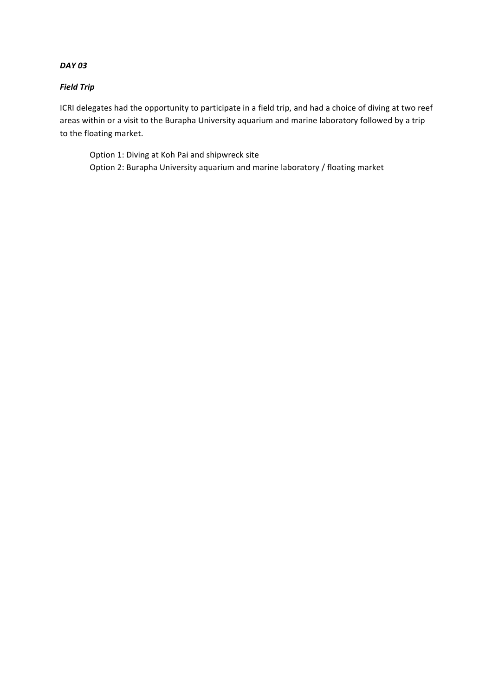#### *DAY 03*

#### *Field Trip*

ICRI delegates had the opportunity to participate in a field trip, and had a choice of diving at two reef areas within or a visit to the Burapha University aquarium and marine laboratory followed by a trip to the floating market.

Option 1: Diving at Koh Pai and shipwreck site Option 2: Burapha University aquarium and marine laboratory / floating market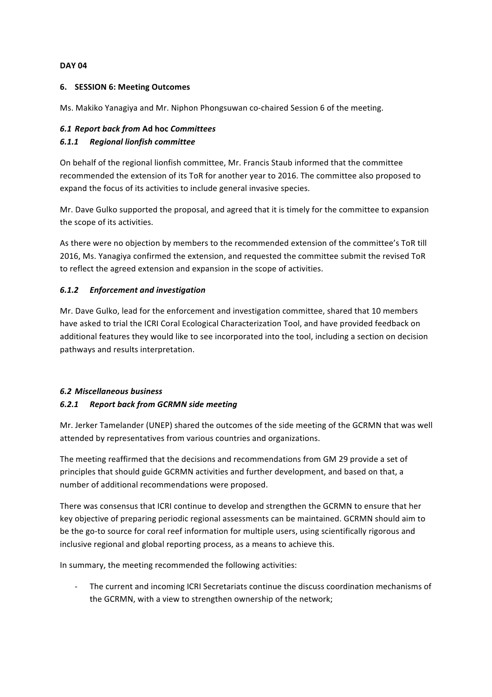#### **DAY 04**

#### **6. SESSION 6: Meeting Outcomes**

Ms. Makiko Yanagiya and Mr. Niphon Phongsuwan co-chaired Session 6 of the meeting.

#### *6.1 Report back from* **Ad hoc** *Committees 6.1.1 Regional lionfish committee*

On behalf of the regional lionfish committee, Mr. Francis Staub informed that the committee recommended the extension of its ToR for another year to 2016. The committee also proposed to expand the focus of its activities to include general invasive species.

Mr. Dave Gulko supported the proposal, and agreed that it is timely for the committee to expansion the scope of its activities.

As there were no objection by members to the recommended extension of the committee's ToR till 2016, Ms. Yanagiya confirmed the extension, and requested the committee submit the revised ToR to reflect the agreed extension and expansion in the scope of activities.

#### *6.1.2 Enforcement and investigation*

Mr. Dave Gulko, lead for the enforcement and investigation committee, shared that 10 members have asked to trial the ICRI Coral Ecological Characterization Tool, and have provided feedback on additional features they would like to see incorporated into the tool, including a section on decision pathways and results interpretation.

#### *6.2 Miscellaneous business*

#### *6.2.1 Report back from GCRMN side meeting*

Mr. Jerker Tamelander (UNEP) shared the outcomes of the side meeting of the GCRMN that was well attended by representatives from various countries and organizations.

The meeting reaffirmed that the decisions and recommendations from GM 29 provide a set of principles that should guide GCRMN activities and further development, and based on that, a number of additional recommendations were proposed.

There was consensus that ICRI continue to develop and strengthen the GCRMN to ensure that her key objective of preparing periodic regional assessments can be maintained. GCRMN should aim to be the go-to source for coral reef information for multiple users, using scientifically rigorous and inclusive regional and global reporting process, as a means to achieve this.

In summary, the meeting recommended the following activities:

- The current and incoming ICRI Secretariats continue the discuss coordination mechanisms of the GCRMN, with a view to strengthen ownership of the network;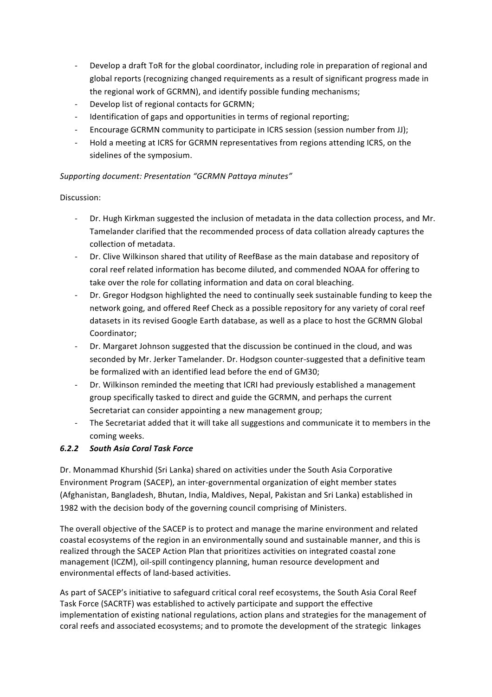- Develop a draft ToR for the global coordinator, including role in preparation of regional and global reports (recognizing changed requirements as a result of significant progress made in the regional work of GCRMN), and identify possible funding mechanisms;
- Develop list of regional contacts for GCRMN;
- Identification of gaps and opportunities in terms of regional reporting;
- Encourage GCRMN community to participate in ICRS session (session number from JJ);
- Hold a meeting at ICRS for GCRMN representatives from regions attending ICRS, on the sidelines of the symposium.

### *Supporting document: Presentation "GCRMN Pattaya minutes"*

#### Discussion:

- Dr. Hugh Kirkman suggested the inclusion of metadata in the data collection process, and Mr. Tamelander clarified that the recommended process of data collation already captures the collection of metadata.
- Dr. Clive Wilkinson shared that utility of ReefBase as the main database and repository of coral reef related information has become diluted, and commended NOAA for offering to take over the role for collating information and data on coral bleaching.
- Dr. Gregor Hodgson highlighted the need to continually seek sustainable funding to keep the network going, and offered Reef Check as a possible repository for any variety of coral reef datasets in its revised Google Earth database, as well as a place to host the GCRMN Global Coordinator;
- Dr. Margaret Johnson suggested that the discussion be continued in the cloud, and was seconded by Mr. Jerker Tamelander. Dr. Hodgson counter-suggested that a definitive team be formalized with an identified lead before the end of GM30;
- Dr. Wilkinson reminded the meeting that ICRI had previously established a management group specifically tasked to direct and guide the GCRMN, and perhaps the current Secretariat can consider appointing a new management group;
- The Secretariat added that it will take all suggestions and communicate it to members in the coming weeks.

### *6.2.2 South Asia Coral Task Force*

Dr. Monammad Khurshid (Sri Lanka) shared on activities under the South Asia Corporative Environment Program (SACEP), an inter-governmental organization of eight member states (Afghanistan, Bangladesh, Bhutan, India, Maldives, Nepal, Pakistan and Sri Lanka) established in 1982 with the decision body of the governing council comprising of Ministers.

The overall objective of the SACEP is to protect and manage the marine environment and related coastal ecosystems of the region in an environmentally sound and sustainable manner, and this is realized through the SACEP Action Plan that prioritizes activities on integrated coastal zone management (ICZM), oil-spill contingency planning, human resource development and environmental effects of land-based activities.

As part of SACEP's initiative to safeguard critical coral reef ecosystems, the South Asia Coral Reef Task Force (SACRTF) was established to actively participate and support the effective implementation of existing national regulations, action plans and strategies for the management of coral reefs and associated ecosystems; and to promote the development of the strategic linkages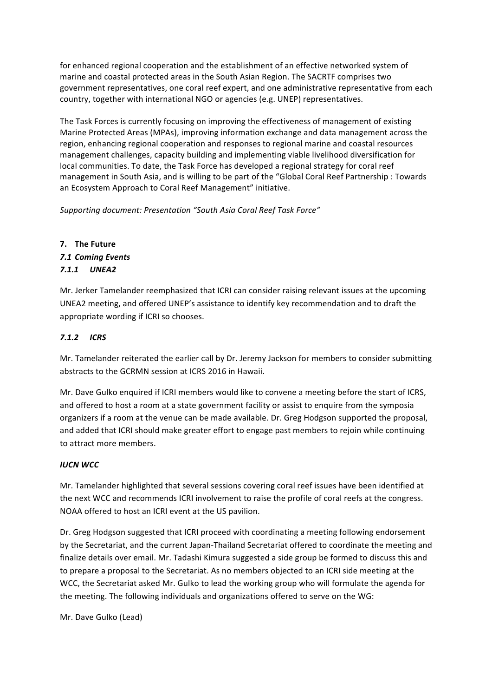for enhanced regional cooperation and the establishment of an effective networked system of marine and coastal protected areas in the South Asian Region. The SACRTF comprises two government representatives, one coral reef expert, and one administrative representative from each country, together with international NGO or agencies (e.g. UNEP) representatives.

The Task Forces is currently focusing on improving the effectiveness of management of existing Marine Protected Areas (MPAs), improving information exchange and data management across the region, enhancing regional cooperation and responses to regional marine and coastal resources management challenges, capacity building and implementing viable livelihood diversification for local communities. To date, the Task Force has developed a regional strategy for coral reef management in South Asia, and is willing to be part of the "Global Coral Reef Partnership : Towards an Ecosystem Approach to Coral Reef Management" initiative.

*Supporting document: Presentation "South Asia Coral Reef Task Force"*

# **7. The Future** *7.1 Coming Events 7.1.1 UNEA2*

Mr. Jerker Tamelander reemphasized that ICRI can consider raising relevant issues at the upcoming UNEA2 meeting, and offered UNEP's assistance to identify key recommendation and to draft the appropriate wording if ICRI so chooses.

# *7.1.2 ICRS*

Mr. Tamelander reiterated the earlier call by Dr. Jeremy Jackson for members to consider submitting abstracts to the GCRMN session at ICRS 2016 in Hawaii.

Mr. Dave Gulko enquired if ICRI members would like to convene a meeting before the start of ICRS, and offered to host a room at a state government facility or assist to enquire from the symposia organizers if a room at the venue can be made available. Dr. Greg Hodgson supported the proposal, and added that ICRI should make greater effort to engage past members to rejoin while continuing to attract more members.

# *IUCN WCC*

Mr. Tamelander highlighted that several sessions covering coral reef issues have been identified at the next WCC and recommends ICRI involvement to raise the profile of coral reefs at the congress. NOAA offered to host an ICRI event at the US pavilion.

Dr. Greg Hodgson suggested that ICRI proceed with coordinating a meeting following endorsement by the Secretariat, and the current Japan-Thailand Secretariat offered to coordinate the meeting and finalize details over email. Mr. Tadashi Kimura suggested a side group be formed to discuss this and to prepare a proposal to the Secretariat. As no members objected to an ICRI side meeting at the WCC, the Secretariat asked Mr. Gulko to lead the working group who will formulate the agenda for the meeting. The following individuals and organizations offered to serve on the WG:

Mr. Dave Gulko (Lead)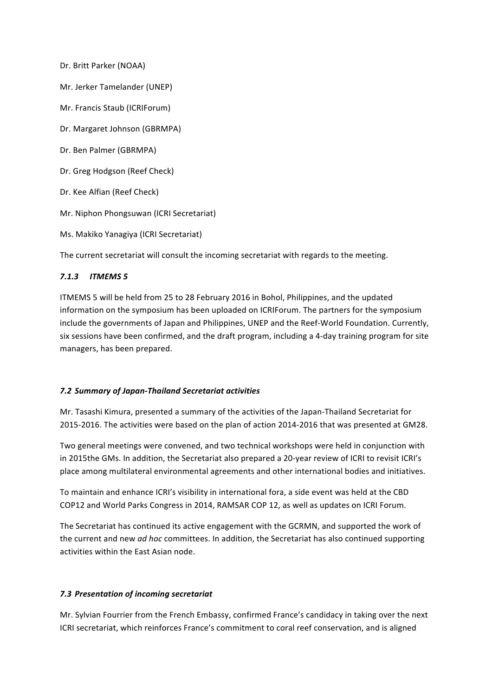Dr. Britt Parker (NOAA)

Mr. Jerker Tamelander (UNEP)

Mr. Francis Staub (ICRIForum)

Dr. Margaret Johnson (GBRMPA)

Dr. Ben Palmer (GBRMPA)

Dr. Greg Hodgson (Reef Check)

Dr. Kee Alfian (Reef Check)

Mr. Niphon Phongsuwan (ICRI Secretariat)

Ms. Makiko Yanagiya (ICRI Secretariat)

The current secretariat will consult the incoming secretariat with regards to the meeting.

#### *7.1.3 ITMEMS 5*

ITMEMS 5 will be held from 25 to 28 February 2016 in Bohol, Philippines, and the updated information on the symposium has been uploaded on ICRIForum. The partners for the symposium include the governments of Japan and Philippines, UNEP and the Reef-World Foundation. Currently, six sessions have been confirmed, and the draft program, including a 4-day training program for site managers, has been prepared.

#### *7.2 Summary of Japan-Thailand Secretariat activities*

Mr. Tasashi Kimura, presented a summary of the activities of the Japan-Thailand Secretariat for 2015-2016. The activities were based on the plan of action 2014-2016 that was presented at GM28.

Two general meetings were convened, and two technical workshops were held in conjunction with in 2015the GMs. In addition, the Secretariat also prepared a 20-year review of ICRI to revisit ICRI's place among multilateral environmental agreements and other international bodies and initiatives.

To maintain and enhance ICRI's visibility in international fora, a side event was held at the CBD COP12 and World Parks Congress in 2014, RAMSAR COP 12, as well as updates on ICRI Forum.

The Secretariat has continued its active engagement with the GCRMN, and supported the work of the current and new *ad hoc* committees. In addition, the Secretariat has also continued supporting activities within the East Asian node.

#### *7.3 Presentation of incoming secretariat*

Mr. Sylvian Fourrier from the French Embassy, confirmed France's candidacy in taking over the next ICRI secretariat, which reinforces France's commitment to coral reef conservation, and is aligned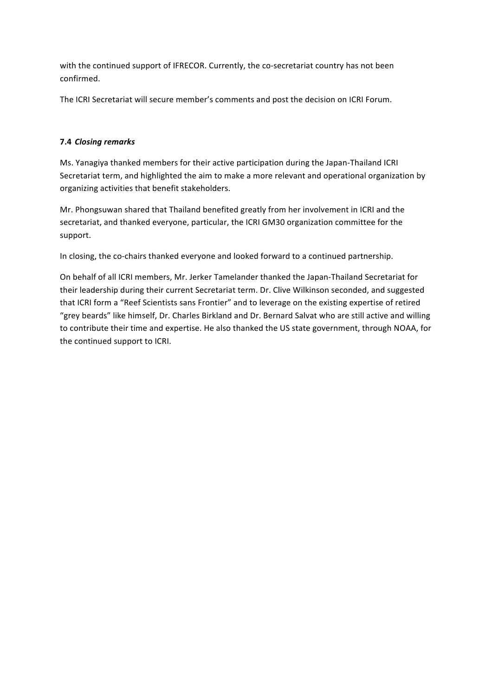with the continued support of IFRECOR. Currently, the co-secretariat country has not been confirmed.

The ICRI Secretariat will secure member's comments and post the decision on ICRI Forum.

#### **7.4 Closing remarks**

Ms. Yanagiya thanked members for their active participation during the Japan-Thailand ICRI Secretariat term, and highlighted the aim to make a more relevant and operational organization by organizing activities that benefit stakeholders.

Mr. Phongsuwan shared that Thailand benefited greatly from her involvement in ICRI and the secretariat, and thanked everyone, particular, the ICRI GM30 organization committee for the support.

In closing, the co-chairs thanked everyone and looked forward to a continued partnership.

On behalf of all ICRI members, Mr. Jerker Tamelander thanked the Japan-Thailand Secretariat for their leadership during their current Secretariat term. Dr. Clive Wilkinson seconded, and suggested that ICRI form a "Reef Scientists sans Frontier" and to leverage on the existing expertise of retired "grey beards" like himself, Dr. Charles Birkland and Dr. Bernard Salvat who are still active and willing to contribute their time and expertise. He also thanked the US state government, through NOAA, for the continued support to ICRI.